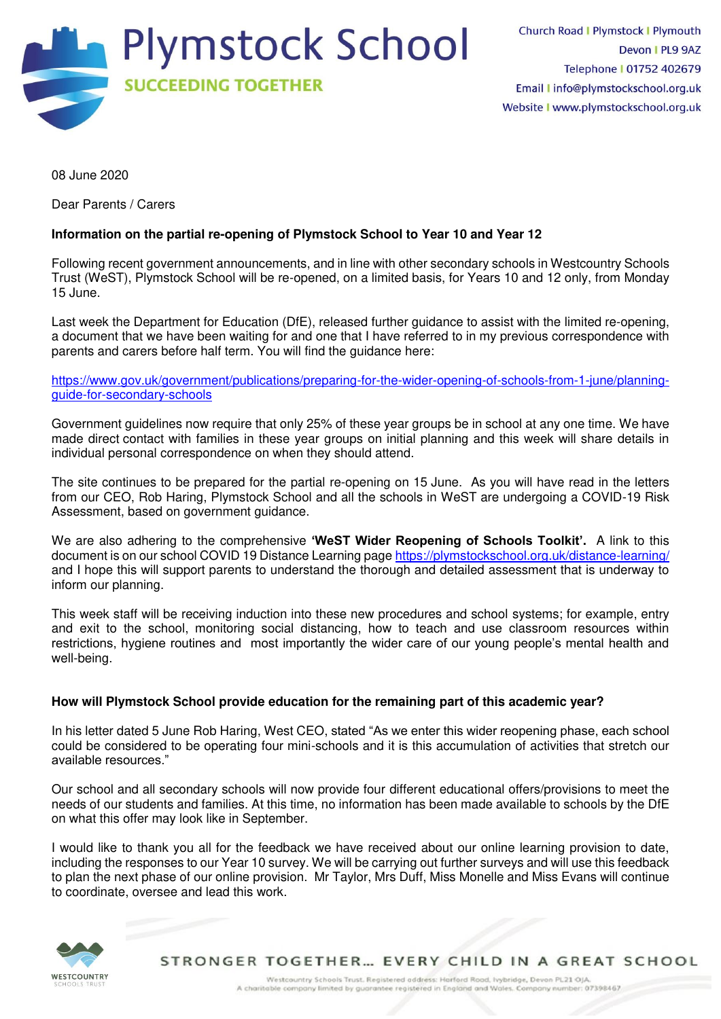

08 June 2020

Dear Parents / Carers

# **Information on the partial re-opening of Plymstock School to Year 10 and Year 12**

Following recent government announcements, and in line with other secondary schools in Westcountry Schools Trust (WeST), Plymstock School will be re-opened, on a limited basis, for Years 10 and 12 only, from Monday 15 June.

Last week the Department for Education (DfE), released further guidance to assist with the limited re-opening, a document that we have been waiting for and one that I have referred to in my previous correspondence with parents and carers before half term. You will find the guidance here:

[https://www.gov.uk/government/publications/preparing-for-the-wider-opening-of-schools-from-1-june/planning](https://webmail.plymstockschool.org.uk/owa/redir.aspx?C=Z-SdeoVZ_yuJw3RTTMtJow9Xrwhz10l4hn8Y_GoFrRqDtP02WwnYCA..&URL=https%3a%2f%2fwww.gov.uk%2fgovernment%2fpublications%2fpreparing-for-the-wider-opening-of-schools-from-1-june%2fplanning-guide-for-secondary-schools)[guide-for-secondary-schools](https://webmail.plymstockschool.org.uk/owa/redir.aspx?C=Z-SdeoVZ_yuJw3RTTMtJow9Xrwhz10l4hn8Y_GoFrRqDtP02WwnYCA..&URL=https%3a%2f%2fwww.gov.uk%2fgovernment%2fpublications%2fpreparing-for-the-wider-opening-of-schools-from-1-june%2fplanning-guide-for-secondary-schools) 

Government guidelines now require that only 25% of these year groups be in school at any one time. We have made direct contact with families in these year groups on initial planning and this week will share details in individual personal correspondence on when they should attend.

The site continues to be prepared for the partial re-opening on 15 June. As you will have read in the letters from our CEO, Rob Haring, Plymstock School and all the schools in WeST are undergoing a COVID-19 Risk Assessment, based on government guidance.

We are also adhering to the comprehensive **'WeST Wider Reopening of Schools Toolkit'.** A link to this document is on our school COVID 19 Distance Learning pag[e https://plymstockschool.org.uk/distance-learning/](https://plymstockschool.org.uk/distance-learning/)  and I hope this will support parents to understand the thorough and detailed assessment that is underway to inform our planning.

This week staff will be receiving induction into these new procedures and school systems; for example, entry and exit to the school, monitoring social distancing, how to teach and use classroom resources within restrictions, hygiene routines and most importantly the wider care of our young people's mental health and well-being.

## **How will Plymstock School provide education for the remaining part of this academic year?**

In his letter dated 5 June Rob Haring, West CEO, stated "As we enter this wider reopening phase, each school could be considered to be operating four mini-schools and it is this accumulation of activities that stretch our available resources."

Our school and all secondary schools will now provide four different educational offers/provisions to meet the needs of our students and families. At this time, no information has been made available to schools by the DfE on what this offer may look like in September.

I would like to thank you all for the feedback we have received about our online learning provision to date, including the responses to our Year 10 survey. We will be carrying out further surveys and will use this feedback to plan the next phase of our online provision. Mr Taylor, Mrs Duff, Miss Monelle and Miss Evans will continue to coordinate, oversee and lead this work.



STRONGER TOGETHER... EVERY CHILD IN A GREAT SCHOOL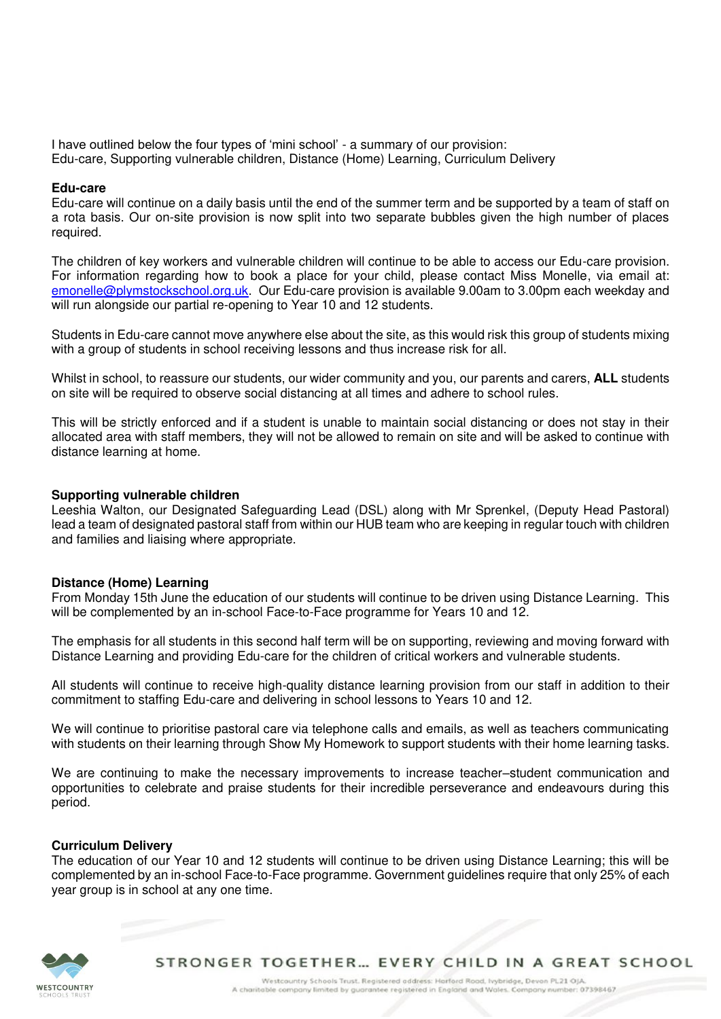I have outlined below the four types of 'mini school' - a summary of our provision: Edu-care, Supporting vulnerable children, Distance (Home) Learning, Curriculum Delivery

#### **Edu-care**

Edu-care will continue on a daily basis until the end of the summer term and be supported by a team of staff on a rota basis. Our on-site provision is now split into two separate bubbles given the high number of places required.

The children of key workers and vulnerable children will continue to be able to access our Edu-care provision. For information regarding how to book a place for your child, please contact Miss Monelle, via email at: [emonelle@plymstockschool.org.uk.](mailto:emonelle@plymstockschool.org.uk) Our Edu-care provision is available 9.00am to 3.00pm each weekday and will run alongside our partial re-opening to Year 10 and 12 students.

Students in Edu-care cannot move anywhere else about the site, as this would risk this group of students mixing with a group of students in school receiving lessons and thus increase risk for all.

Whilst in school, to reassure our students, our wider community and you, our parents and carers, **ALL** students on site will be required to observe social distancing at all times and adhere to school rules.

This will be strictly enforced and if a student is unable to maintain social distancing or does not stay in their allocated area with staff members, they will not be allowed to remain on site and will be asked to continue with distance learning at home.

#### **Supporting vulnerable children**

Leeshia Walton, our Designated Safeguarding Lead (DSL) along with Mr Sprenkel, (Deputy Head Pastoral) lead a team of designated pastoral staff from within our HUB team who are keeping in regular touch with children and families and liaising where appropriate.

### **Distance (Home) Learning**

From Monday 15th June the education of our students will continue to be driven using Distance Learning. This will be complemented by an in-school Face-to-Face programme for Years 10 and 12.

The emphasis for all students in this second half term will be on supporting, reviewing and moving forward with Distance Learning and providing Edu-care for the children of critical workers and vulnerable students.

All students will continue to receive high-quality distance learning provision from our staff in addition to their commitment to staffing Edu-care and delivering in school lessons to Years 10 and 12.

We will continue to prioritise pastoral care via telephone calls and emails, as well as teachers communicating with students on their learning through Show My Homework to support students with their home learning tasks.

We are continuing to make the necessary improvements to increase teacher–student communication and opportunities to celebrate and praise students for their incredible perseverance and endeavours during this period.

### **Curriculum Delivery**

The education of our Year 10 and 12 students will continue to be driven using Distance Learning; this will be complemented by an in-school Face-to-Face programme. Government guidelines require that only 25% of each year group is in school at any one time.